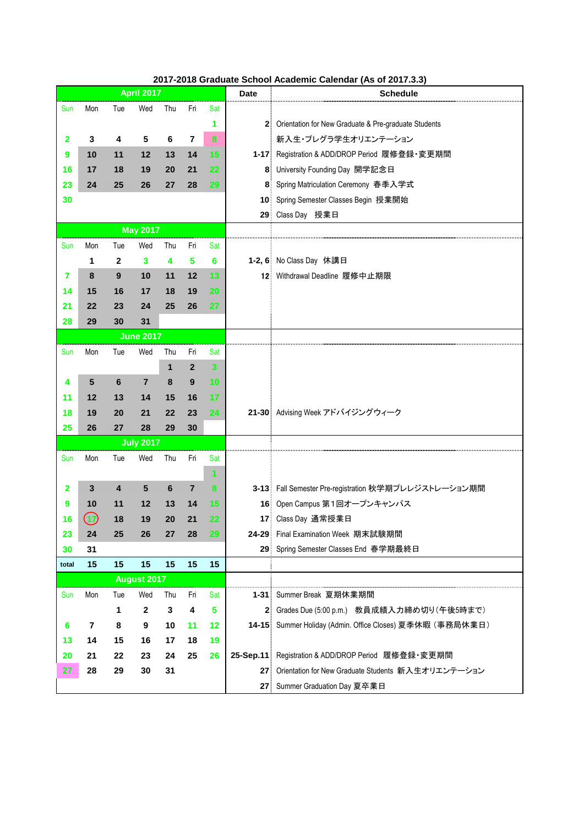## **2017-2018 Graduate School Academic Calendar (As of 2017.3.3)**

|       |                              |     | <b>April 2017</b>  |         |                |                         | <b>Date</b> | Schedule                                                   |
|-------|------------------------------|-----|--------------------|---------|----------------|-------------------------|-------------|------------------------------------------------------------|
| Sun   | Mon                          | Tue | Wed                | Thu     | Fri            | Sat                     |             |                                                            |
|       |                              |     |                    |         |                | 1                       |             | 2 Orientation for New Graduate & Pre-graduate Students     |
| 2     | 3                            | 4   | 5                  | 6       | $\overline{7}$ | 8                       |             | 新入生・プレグラ学生オリエンテーション                                        |
| 9     | 10                           | 11  | 12                 | 13      | 14             | 15                      |             | 1-17: Registration & ADD/DROP Period 履修登録·変更期間             |
| 16    | 17                           | 18  | 19                 | 20      | 21             | 22                      |             | 8: University Founding Day 開学記念日                           |
| 23    | 24                           | 25  | 26                 | 27      | 28             | 29                      |             | 8 Spring Matriculation Ceremony 春季入学式                      |
| 30    |                              |     |                    |         |                |                         |             | 10 Spring Semester Classes Begin 授業開始                      |
|       |                              |     |                    |         |                |                         |             | 29 Class Day 授業日                                           |
|       |                              |     | <b>May 2017</b>    |         |                |                         |             |                                                            |
| Sun   | Mon                          | Tue | Wed                | Thu     | Fri            | Sat                     |             |                                                            |
|       | 1                            | 2   | 3                  | 4       | 5              | 6                       |             | 1-2, 6 No Class Day 休講日                                    |
| 7     | 8                            | 9   | 10                 | 11      | 12             | 13                      |             | 12: Withdrawal Deadline 履修中止期限                             |
| 14    | 15                           | 16  | 17                 | 18      | 19             | 20                      |             |                                                            |
| 21    | 22                           | 23  | 24                 | 25      | 26             | 27                      |             |                                                            |
| 28    | 29                           | 30  | 31                 |         |                |                         |             |                                                            |
|       |                              |     | <b>June 2017</b>   |         |                |                         |             |                                                            |
| Sun   | Mon                          | Tue | Wed                | Thu     | Fri            | Sat                     |             |                                                            |
|       |                              |     |                    | 1       | $\mathbf{2}$   | $\overline{\mathbf{3}}$ |             |                                                            |
| 4     | 5                            | 6   | $\overline{7}$     | 8       | 9              | 10                      |             |                                                            |
| 11    | 12                           | 13  | 14                 | 15      | 16             | 17                      |             |                                                            |
| 18    | 19                           | 20  | 21                 | 22      | 23             | 24                      |             | 21-30 Advising Week アドバイジングウィーク                            |
| 25    | 26                           | 27  | 28                 | 29      | 30             |                         |             |                                                            |
|       |                              |     | <b>July 2017</b>   |         |                |                         |             |                                                            |
| Sun   | Mon                          | Tue | Wed                | Thu     | Fri            | Sat                     |             |                                                            |
|       |                              |     |                    |         |                | 1                       |             |                                                            |
| 2     | 3                            | 4   | 5                  | $\bf 6$ | $\overline{7}$ | 8                       |             | 3-13 Fall Semester Pre-registration 秋学期プレレジストレーション期間       |
| 9     | 10                           | 11  | 12                 | 13      | 14             | 15                      |             | 16: Open Campus 第1回オープンキャンパス                               |
| 16    | $\left( \rightarrow \right)$ | 18  | 19                 | 20      | 21             | 22                      |             | 17 Class Day 通常授業日                                         |
| 23    | 24                           | 25  | 26                 | 27      | 28             | 29                      |             | 24-29 Final Examination Week 期末試験期間                        |
| 30    | 31                           |     |                    |         |                |                         |             | 29: Spring Semester Classes End 春学期最終日                     |
| total | 15                           | 15  | 15                 | 15      | 15             | 15                      |             |                                                            |
|       |                              |     | <b>August 2017</b> |         |                |                         |             |                                                            |
| Sun   | Mon                          | Tue | Wed                | Thu     | Fri            | Sat                     |             | 1-31: Summer Break 夏期休業期間                                  |
|       |                              | 1   | $\mathbf 2$        | 3       | 4              | 5                       |             | 2 Grades Due (5:00 p.m.) 教員成績入力締め切り(午後5時まで)                |
| 6     | $\overline{\mathbf{r}}$      | 8   | 9                  | 10      | 11             | 12                      |             | 14-15: Summer Holiday (Admin. Office Closes) 夏季休暇 (事務局休業日) |
| 13    | 14                           | 15  | 16                 | 17      | 18             | 19                      |             |                                                            |
| 20    | 21                           | 22  | 23                 | 24      | 25             | 26                      |             | 25-Sep.11: Registration & ADD/DROP Period 履修登録·変更期間        |
| 27    | 28                           | 29  | 30                 | 31      |                |                         |             | 27 Orientation for New Graduate Students 新入生オリエンテーション      |
|       |                              |     |                    |         |                |                         |             | 27 Summer Graduation Day 夏卒業日                              |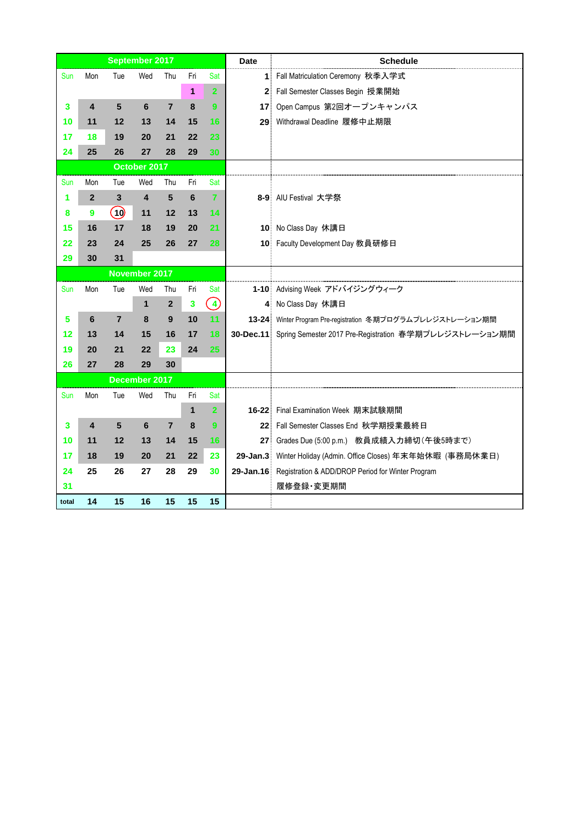|       |                |                | September 2017          |                |     |                   | <b>Date</b>     | <b>Schedule</b>                                                   |
|-------|----------------|----------------|-------------------------|----------------|-----|-------------------|-----------------|-------------------------------------------------------------------|
| Sun   | Mon            | Tue            | Wed                     | Thu            | Fri | Sat               | 1               | Fall Matriculation Ceremony 秋季入学式                                 |
|       |                |                |                         |                | 1   | $\overline{2}$    |                 | 2. Fall Semester Classes Begin 授業開始                               |
| 3     | 4              | 5              | 6                       | $\overline{7}$ | 8   | $\mathbf{9}$      | 17 <sup>1</sup> | Open Campus 第2回オープンキャンパス                                          |
| 10    | 11             | 12             | 13                      | 14             | 15  | 16                | 29 <sup>1</sup> | Withdrawal Deadline 履修中止期限                                        |
| 17    | 18             | 19             | 20                      | 21             | 22  | 23                |                 |                                                                   |
| 24    | 25             | 26             | 27                      | 28             | 29  | 30                |                 |                                                                   |
|       |                |                | October 2017            |                |     |                   |                 |                                                                   |
| Sun   | Mon            | Tue            | Wed                     | Thu            | Fri | Sat               |                 |                                                                   |
| 1     | $\overline{2}$ | 3              | $\overline{\mathbf{4}}$ | 5              | 6   | $\overline{7}$    |                 | 8-9 AIU Festival 大学祭                                              |
| 8     | 9              | (10)           | 11                      | 12             | 13  | 14                |                 |                                                                   |
| 15    | 16             | 17             | 18                      | 19             | 20  | 21                |                 | 10 No Class Day 休講日                                               |
| 22    | 23             | 24             | 25                      | 26             | 27  | 28                |                 | 10 Faculty Development Day 教員研修日                                  |
| 29    | 30             | 31             |                         |                |     |                   |                 |                                                                   |
|       |                |                | November 2017           |                |     |                   |                 |                                                                   |
| Sun   | Mon            | Tue            | Wed                     | Thu            | Fri | Sat               |                 | 1-10 Advising Week アドバイジングウィーク                                    |
|       |                |                | 1                       | $\overline{2}$ | 3   | $\left( 4\right)$ |                 | 4 No Class Day 休講日                                                |
| 5     | 6              | $\overline{7}$ | 8                       | 9              | 10  | 11                |                 | 13-24: Winter Program Pre-registration 冬期プログラムプレレジストレーション期間       |
| 12    | 13             | 14             | 15                      | 16             | 17  | 18                |                 | 30-Dec.11: Spring Semester 2017 Pre-Registration 春学期プレレジストレーション期間 |
| 19    | 20             | 21             | 22                      | 23             | 24  | 25                |                 |                                                                   |
| 26    | 27             | 28             | 29                      | 30             |     |                   |                 |                                                                   |
|       |                |                | December 2017           |                |     |                   |                 |                                                                   |
| Sun   | Mon            | Tue            | Wed                     | Thu            | Fri | Sat               |                 |                                                                   |
|       |                |                |                         |                | 1   | $\overline{2}$    |                 | 16-22 Final Examination Week 期末試験期間                               |
| 3     | 4              | 5              | 6                       | $\overline{7}$ | 8   | 9                 |                 | 22 Fall Semester Classes End 秋学期授業最終日                             |
| 10    | 11             | 12             | 13                      | 14             | 15  | 16                |                 | 27 Grades Due (5:00 p.m.) 教員成績入力締切 (午後5時まで)                       |
| 17    | 18             | 19             | 20                      | 21             | 22  | 23                |                 | 29-Jan.3: Winter Holiday (Admin. Office Closes) 年末年始休暇 (事務局休業日)   |
| 24    | 25             | 26             | 27                      | 28             | 29  | 30                |                 | 29-Jan.16: Registration & ADD/DROP Period for Winter Program      |
| 31    |                |                |                         |                |     |                   |                 | 履修登録·変更期間                                                         |
| total | 14             | 15             | 16                      | 15             | 15  | 15                |                 |                                                                   |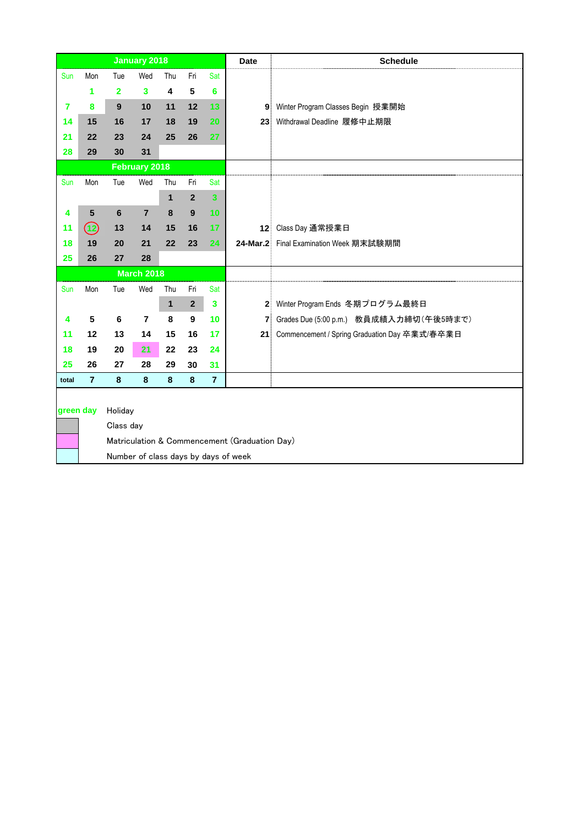|                                                                                                                            |                                |         | <b>January 2018</b> |              |                  |                         | <b>Date</b> | <b>Schedule</b>                               |
|----------------------------------------------------------------------------------------------------------------------------|--------------------------------|---------|---------------------|--------------|------------------|-------------------------|-------------|-----------------------------------------------|
| Sun                                                                                                                        | Mon                            | Tue     | Wed                 | Thu          | Fri              | Sat                     |             |                                               |
|                                                                                                                            | 1                              | 2       | 3                   | 4            | 5                | 6                       |             |                                               |
| 7                                                                                                                          | 8                              | 9       | 10                  | 11           | 12               | 13                      |             | 9 Winter Program Classes Begin 授業開始           |
| 14                                                                                                                         | 15                             | 16      | 17                  | 18           | 19               | 20                      |             | 23 Withdrawal Deadline 履修中止期限                 |
| 21                                                                                                                         | 22                             | 23      | 24                  | 25           | 26               | 27                      |             |                                               |
| 28                                                                                                                         | 29                             | 30      | 31                  |              |                  |                         |             |                                               |
|                                                                                                                            |                                |         | February 2018       |              |                  |                         |             |                                               |
| Sun                                                                                                                        | Mon                            | Tue     | Wed                 | Thu          | Fri              | Sat                     |             |                                               |
|                                                                                                                            |                                |         |                     | $\mathbf{1}$ | $\overline{2}$   | $\overline{\mathbf{3}}$ |             |                                               |
| 4                                                                                                                          | 5                              | 6       | $\overline{7}$      | 8            | 9                | 10                      |             |                                               |
| 11                                                                                                                         | $\textcircled{\scriptsize{2}}$ | 13      | 14                  | 15           | 16               | 17                      |             | 12 Class Day 通常授業日                            |
| 18                                                                                                                         | 19                             | 20      | 21                  | 22           | 23               | 24                      |             | 24-Mar.2: Final Examination Week 期末試験期間       |
| 25                                                                                                                         | 26                             | 27      | 28                  |              |                  |                         |             |                                               |
|                                                                                                                            |                                |         | <b>March 2018</b>   |              |                  |                         |             |                                               |
| Sun                                                                                                                        | Mon                            | Tue     | Wed                 | Thu          | Fri              | Sat                     |             |                                               |
|                                                                                                                            |                                |         |                     | $\mathbf{1}$ | $\mathbf 2$      | $\overline{\mathbf{3}}$ |             | 2. Winter Program Ends 冬期プログラム最終日             |
| 4                                                                                                                          | 5                              | $\bf 6$ | $\overline{7}$      | 8            | $\boldsymbol{9}$ | 10                      |             | 7   Grades Due (5:00 p.m.) 教員成績入力締切 (午後5時まで)  |
| 11                                                                                                                         | 12                             | 13      | 14                  | 15           | 16               | 17                      | 21          | Commencement / Spring Graduation Day 卒業式/春卒業日 |
| 18                                                                                                                         | 19                             | 20      | 21                  | 22           | 23               | 24                      |             |                                               |
| 25                                                                                                                         | 26                             | 27      | 28                  | 29           | 30               | 31                      |             |                                               |
| total                                                                                                                      | $\overline{7}$                 | 8       | $\pmb{8}$           | 8            | 8                | $\overline{7}$          |             |                                               |
| green day<br>Holiday<br>Class day<br>Matriculation & Commencement (Graduation Day)<br>Number of class days by days of week |                                |         |                     |              |                  |                         |             |                                               |